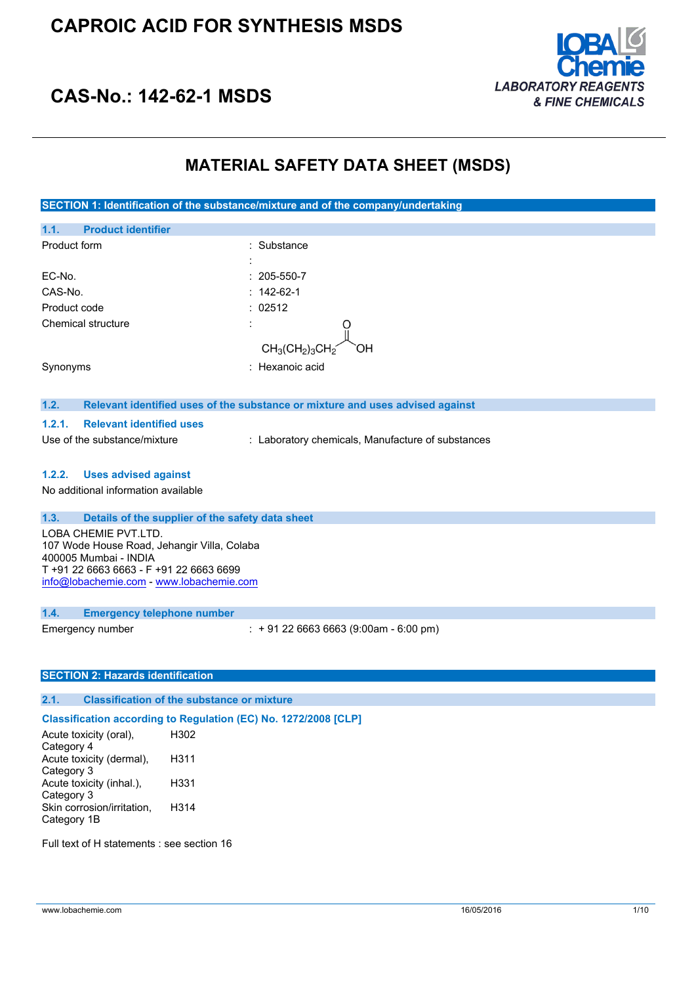

## **CAS-No.: 142-62-1 MSDS**

### **MATERIAL SAFETY DATA SHEET (MSDS)**

**SECTION 1: Identification of the substance/mixture and of the company/undertaking 1.1. Product identifier** Product form : Substance : Substance : EC-No. : 205-550-7 CAS-No. : 142-62-1 Product code : 02512 Chemical structure : the structure of the structure of the structure of the structure of the structure of the structure of the structure of the structure of the structure of the structure of the structure of the structure  $CH<sub>3</sub>(CH<sub>2</sub>)<sub>3</sub>CH$ Synonyms : Hexanoic acid **1.2. Relevant identified uses of the substance or mixture and uses advised against 1.2.1. Relevant identified uses** Use of the substance/mixture : Laboratory chemicals, Manufacture of substances **1.2.2. Uses advised against** No additional information available **1.3. Details of the supplier of the safety data sheet** LOBA CHEMIE PVT.LTD. 107 Wode House Road, Jehangir Villa, Colaba 400005 Mumbai - INDIA T +91 22 6663 6663 - F +91 22 6663 6699 [info@lobachemie.com](mailto:info@lobachemie.com) - <www.lobachemie.com> **1.4. Emergency telephone number** Emergency number : + 91 22 6663 6663 (9:00am - 6:00 pm) **SECTION 2: Hazards identification 2.1. Classification of the substance or mixture Classification according to Regulation (EC) No. 1272/2008 [CLP]** Acute toxicity (oral), H302 Category 4 Acute toxicity (dermal), H311 Category 3 Acute toxicity (inhal.), H331 Category 3 Skin corrosion/irritation, H314

Full text of H statements : see section 16

Category 1B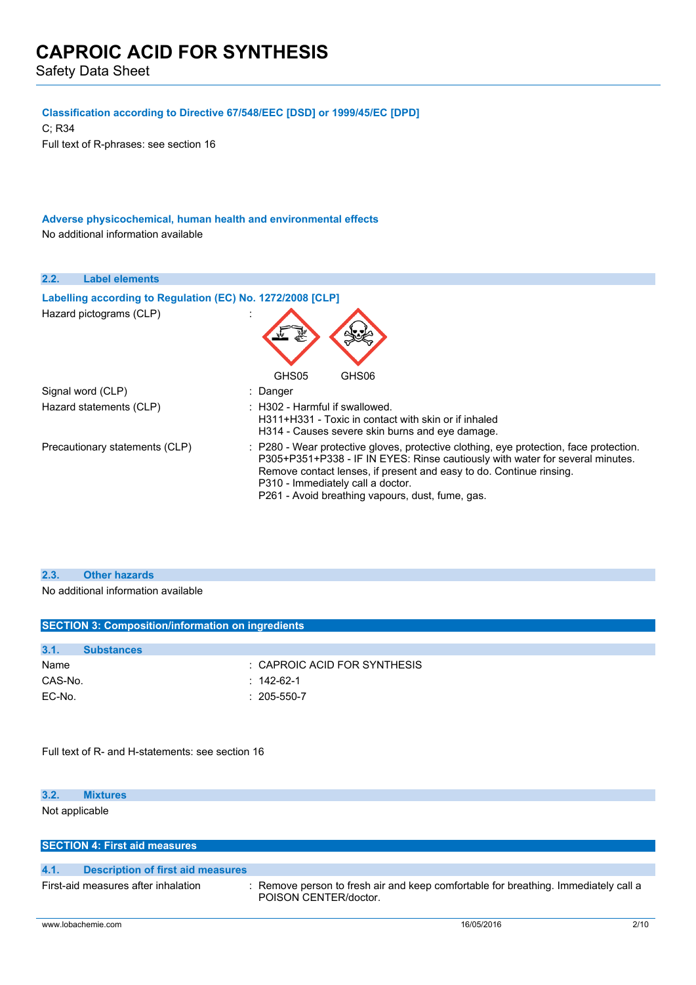Safety Data Sheet

### **Classification according to Directive 67/548/EEC [DSD] or 1999/45/EC [DPD]**

C; R34 Full text of R-phrases: see section 16

### **Adverse physicochemical, human health and environmental effects** No additional information available

| 2.2.<br><b>Label elements</b>                              |                                                                                                                                                                                                                                                                                                                                         |
|------------------------------------------------------------|-----------------------------------------------------------------------------------------------------------------------------------------------------------------------------------------------------------------------------------------------------------------------------------------------------------------------------------------|
| Labelling according to Regulation (EC) No. 1272/2008 [CLP] |                                                                                                                                                                                                                                                                                                                                         |
| Hazard pictograms (CLP)                                    | GHS05<br>GHS <sub>06</sub>                                                                                                                                                                                                                                                                                                              |
| Signal word (CLP)                                          | : Danger                                                                                                                                                                                                                                                                                                                                |
| Hazard statements (CLP)                                    | $\pm$ H302 - Harmful if swallowed.<br>H311+H331 - Toxic in contact with skin or if inhaled<br>H314 - Causes severe skin burns and eye damage.                                                                                                                                                                                           |
| Precautionary statements (CLP)                             | : P280 - Wear protective gloves, protective clothing, eye protection, face protection.<br>P305+P351+P338 - IF IN EYES: Rinse cautiously with water for several minutes.<br>Remove contact lenses, if present and easy to do. Continue rinsing.<br>P310 - Immediately call a doctor.<br>P261 - Avoid breathing vapours, dust, fume, gas. |

### **2.3. Other hazards**

No additional information available

|         |                   | <b>SECTION 3: Composition/information on ingredients</b> |
|---------|-------------------|----------------------------------------------------------|
|         |                   |                                                          |
| 3.1.    | <b>Substances</b> |                                                          |
| Name    |                   | : CAPROIC ACID FOR SYNTHESIS                             |
| CAS-No. |                   | $: 142-62-1$                                             |
| EC-No.  |                   | $: 205 - 550 - 7$                                        |
|         |                   |                                                          |
|         |                   |                                                          |
|         |                   |                                                          |

Full text of R- and H-statements: see section 16

#### **3.2. Mixtures**

Not applicable

|      | <b>SECTION 4: First aid measures</b>     |                                                                                                              |
|------|------------------------------------------|--------------------------------------------------------------------------------------------------------------|
|      |                                          |                                                                                                              |
| 4.1. | <b>Description of first aid measures</b> |                                                                                                              |
|      | First-aid measures after inhalation      | : Remove person to fresh air and keep comfortable for breathing. Immediately call a<br>POISON CENTER/doctor. |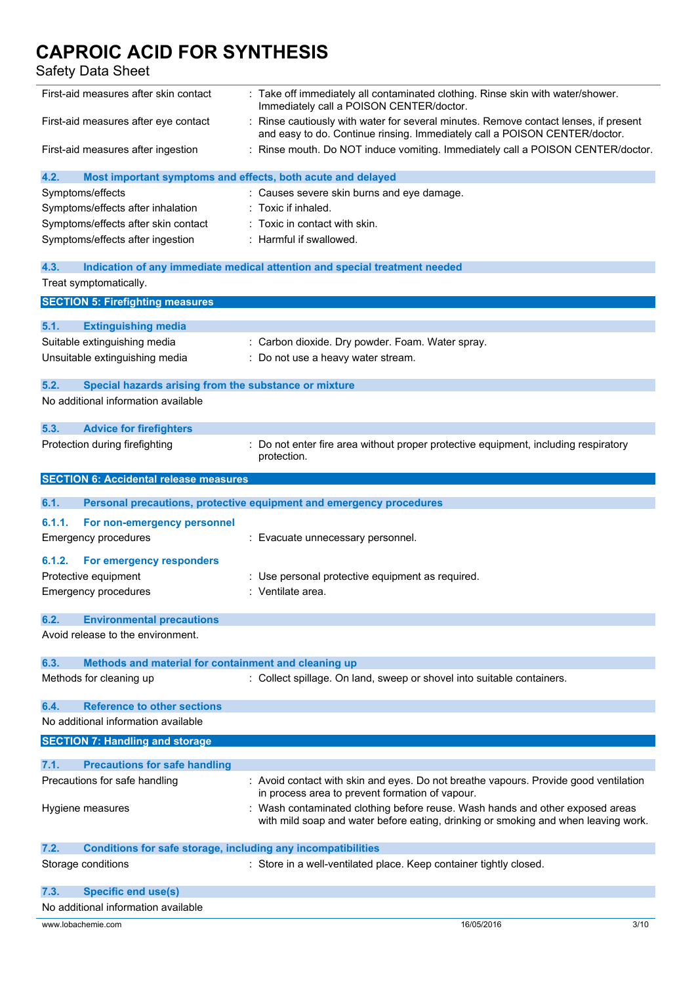Safety Data Sheet

| First-aid measures after skin contact                                       | : Take off immediately all contaminated clothing. Rinse skin with water/shower.<br>Immediately call a POISON CENTER/doctor.                                         |      |
|-----------------------------------------------------------------------------|---------------------------------------------------------------------------------------------------------------------------------------------------------------------|------|
| First-aid measures after eye contact                                        | Rinse cautiously with water for several minutes. Remove contact lenses, if present<br>and easy to do. Continue rinsing. Immediately call a POISON CENTER/doctor.    |      |
| First-aid measures after ingestion                                          | : Rinse mouth. Do NOT induce vomiting. Immediately call a POISON CENTER/doctor.                                                                                     |      |
| 4.2.<br>Most important symptoms and effects, both acute and delayed         |                                                                                                                                                                     |      |
| Symptoms/effects                                                            | : Causes severe skin burns and eye damage.                                                                                                                          |      |
| Symptoms/effects after inhalation                                           | Toxic if inhaled.                                                                                                                                                   |      |
| Symptoms/effects after skin contact                                         | Toxic in contact with skin.                                                                                                                                         |      |
| Symptoms/effects after ingestion                                            | : Harmful if swallowed.                                                                                                                                             |      |
|                                                                             |                                                                                                                                                                     |      |
| 4.3.                                                                        | Indication of any immediate medical attention and special treatment needed                                                                                          |      |
| Treat symptomatically.                                                      |                                                                                                                                                                     |      |
| <b>SECTION 5: Firefighting measures</b>                                     |                                                                                                                                                                     |      |
| 5.1.<br><b>Extinguishing media</b>                                          |                                                                                                                                                                     |      |
| Suitable extinguishing media                                                | Carbon dioxide. Dry powder. Foam. Water spray.                                                                                                                      |      |
| Unsuitable extinguishing media                                              | : Do not use a heavy water stream.                                                                                                                                  |      |
|                                                                             |                                                                                                                                                                     |      |
| 5.2.<br>Special hazards arising from the substance or mixture               |                                                                                                                                                                     |      |
| No additional information available                                         |                                                                                                                                                                     |      |
| 5.3.<br><b>Advice for firefighters</b>                                      |                                                                                                                                                                     |      |
| Protection during firefighting                                              | Do not enter fire area without proper protective equipment, including respiratory                                                                                   |      |
|                                                                             | protection.                                                                                                                                                         |      |
| <b>SECTION 6: Accidental release measures</b>                               |                                                                                                                                                                     |      |
| 6.1.                                                                        | Personal precautions, protective equipment and emergency procedures                                                                                                 |      |
|                                                                             |                                                                                                                                                                     |      |
| 6.1.1.<br>For non-emergency personnel                                       |                                                                                                                                                                     |      |
| <b>Emergency procedures</b>                                                 | : Evacuate unnecessary personnel.                                                                                                                                   |      |
| 6.1.2.<br>For emergency responders                                          |                                                                                                                                                                     |      |
| Protective equipment                                                        | Use personal protective equipment as required.                                                                                                                      |      |
| <b>Emergency procedures</b>                                                 | : Ventilate area.                                                                                                                                                   |      |
|                                                                             |                                                                                                                                                                     |      |
| 6.2.<br><b>Environmental precautions</b>                                    |                                                                                                                                                                     |      |
| Avoid release to the environment.                                           |                                                                                                                                                                     |      |
| Methods and material for containment and cleaning up<br>6.3.                |                                                                                                                                                                     |      |
| Methods for cleaning up                                                     | : Collect spillage. On land, sweep or shovel into suitable containers.                                                                                              |      |
|                                                                             |                                                                                                                                                                     |      |
| <b>Reference to other sections</b><br>6.4.                                  |                                                                                                                                                                     |      |
| No additional information available                                         |                                                                                                                                                                     |      |
| <b>SECTION 7: Handling and storage</b>                                      |                                                                                                                                                                     |      |
|                                                                             |                                                                                                                                                                     |      |
| 7.1.<br><b>Precautions for safe handling</b>                                |                                                                                                                                                                     |      |
| Precautions for safe handling                                               | : Avoid contact with skin and eyes. Do not breathe vapours. Provide good ventilation<br>in process area to prevent formation of vapour.                             |      |
| Hygiene measures                                                            | : Wash contaminated clothing before reuse. Wash hands and other exposed areas<br>with mild soap and water before eating, drinking or smoking and when leaving work. |      |
| 7.2.<br><b>Conditions for safe storage, including any incompatibilities</b> |                                                                                                                                                                     |      |
| Storage conditions                                                          | : Store in a well-ventilated place. Keep container tightly closed.                                                                                                  |      |
|                                                                             |                                                                                                                                                                     |      |
| 7.3.<br><b>Specific end use(s)</b>                                          |                                                                                                                                                                     |      |
| No additional information available                                         |                                                                                                                                                                     |      |
| www.lobachemie.com                                                          | 16/05/2016                                                                                                                                                          | 3/10 |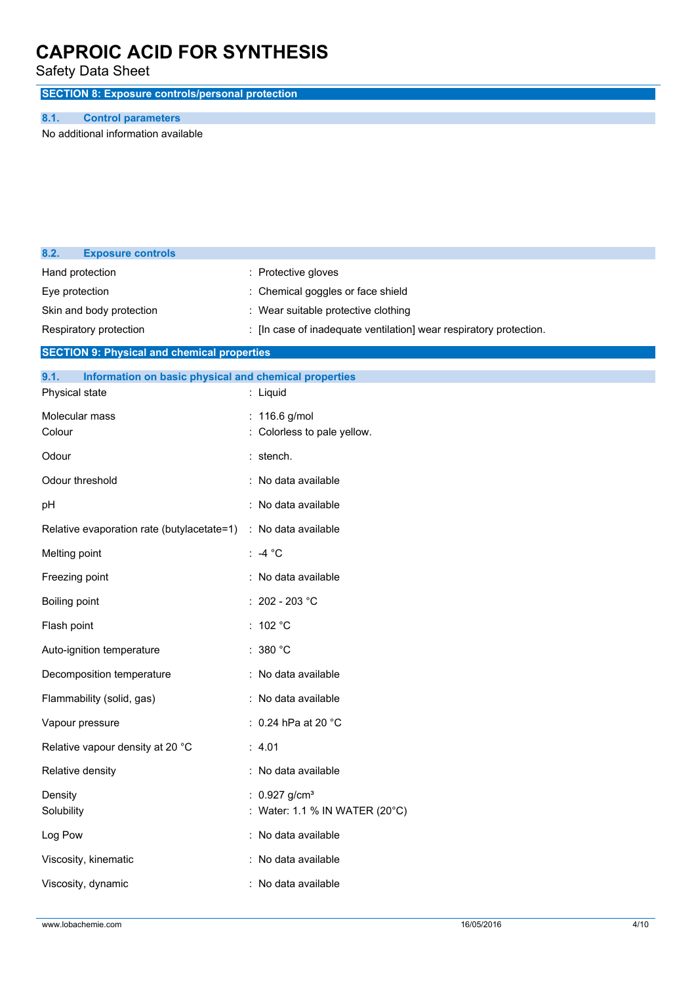Safety Data Sheet

**SECTION 8: Exposure controls/personal protection**

### **8.1. Control parameters**

**8.2. Exposure controls**

No additional information available

| Hand protection<br>Eye protection<br>Skin and body protection<br>Respiratory protection<br><b>SECTION 9: Physical and chemical properties</b><br>9.1.<br>Information on basic physical and chemical properties<br>Physical state | : Protective gloves<br>Chemical goggles or face shield<br>: Wear suitable protective clothing<br>: [In case of inadequate ventilation] wear respiratory protection.<br>: Liquid |
|----------------------------------------------------------------------------------------------------------------------------------------------------------------------------------------------------------------------------------|---------------------------------------------------------------------------------------------------------------------------------------------------------------------------------|
| Molecular mass<br>Colour                                                                                                                                                                                                         | : 116.6 g/mol<br>Colorless to pale yellow.                                                                                                                                      |
| Odour                                                                                                                                                                                                                            | : stench.                                                                                                                                                                       |
| Odour threshold                                                                                                                                                                                                                  | : No data available                                                                                                                                                             |
| рH                                                                                                                                                                                                                               | : No data available                                                                                                                                                             |
| Relative evaporation rate (butylacetate=1)                                                                                                                                                                                       | : No data available                                                                                                                                                             |
| Melting point                                                                                                                                                                                                                    | : -4 $^{\circ}$ C                                                                                                                                                               |
| Freezing point                                                                                                                                                                                                                   | : No data available                                                                                                                                                             |
| Boiling point                                                                                                                                                                                                                    | : 202 - 203 °C                                                                                                                                                                  |
| Flash point                                                                                                                                                                                                                      | : 102 $^{\circ}$ C                                                                                                                                                              |
| Auto-ignition temperature                                                                                                                                                                                                        | : $380 °C$                                                                                                                                                                      |
| Decomposition temperature                                                                                                                                                                                                        | : No data available                                                                                                                                                             |
| Flammability (solid, gas)                                                                                                                                                                                                        | : No data available                                                                                                                                                             |
| Vapour pressure                                                                                                                                                                                                                  | : 0.24 hPa at 20 $^{\circ}$ C                                                                                                                                                   |
| Relative vapour density at 20 °C                                                                                                                                                                                                 | : 4.01                                                                                                                                                                          |
| Relative density                                                                                                                                                                                                                 | : No data available                                                                                                                                                             |
| Density<br>Solubility                                                                                                                                                                                                            | : $0.927$ g/cm <sup>3</sup><br>Water: 1.1 % IN WATER (20°C)                                                                                                                     |
| Log Pow                                                                                                                                                                                                                          | : No data available                                                                                                                                                             |
| Viscosity, kinematic                                                                                                                                                                                                             | : No data available                                                                                                                                                             |
| Viscosity, dynamic                                                                                                                                                                                                               | : No data available                                                                                                                                                             |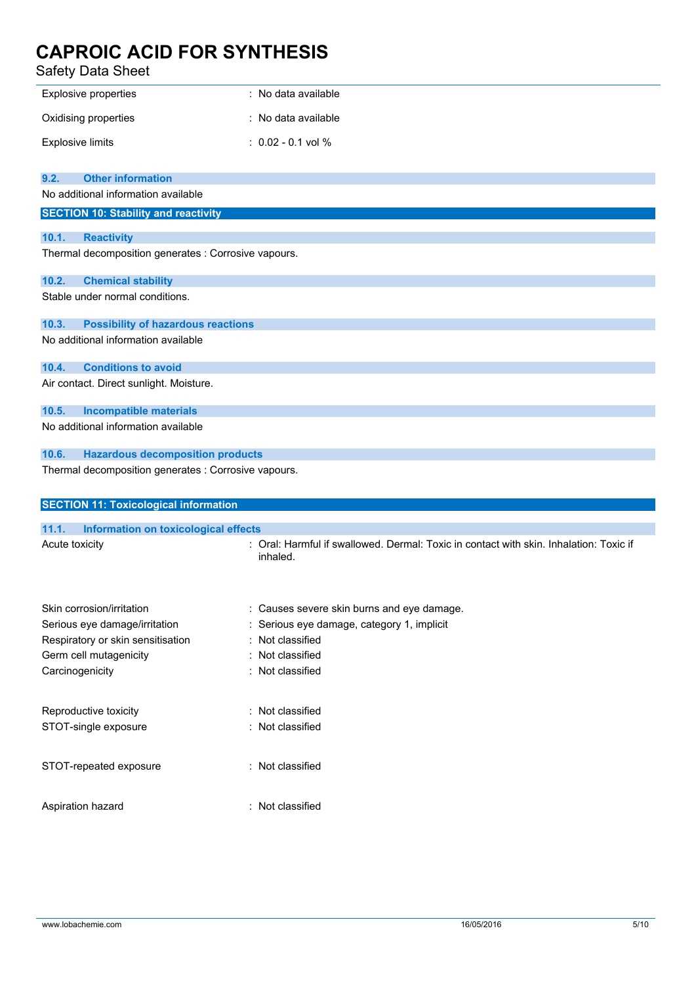Safety Data Sheet

| Explosive properties             | : No data available  |
|----------------------------------|----------------------|
| Oxidising properties             | : No data available  |
| <b>Explosive limits</b>          | $: 0.02 - 0.1$ vol % |
|                                  |                      |
| 9.2.<br><b>Other information</b> |                      |

No additional information available

|       | <u>NU duuluullal illiulillauuli avallable</u>        |  |  |
|-------|------------------------------------------------------|--|--|
|       | <b>SECTION 10: Stability and reactivity</b>          |  |  |
|       |                                                      |  |  |
| 10.1. | <b>Reactivity</b>                                    |  |  |
|       | Thermal decomposition generates : Corrosive vapours. |  |  |
| 10.2. | <b>Chemical stability</b>                            |  |  |
|       | Stable under normal conditions.                      |  |  |
| 10.3. | <b>Possibility of hazardous reactions</b>            |  |  |

No additional information available

**10.4. Conditions to avoid**

Air contact. Direct sunlight. Moisture.

**10.5. Incompatible materials**

No additional information available

### **10.6. Hazardous decomposition products**

Thermal decomposition generates : Corrosive vapours.

| <b>SECTION 11: Toxicological information</b>  |                                                                                                    |  |
|-----------------------------------------------|----------------------------------------------------------------------------------------------------|--|
| 11.1.<br>Information on toxicological effects |                                                                                                    |  |
| Acute toxicity                                | : Oral: Harmful if swallowed. Dermal: Toxic in contact with skin. Inhalation: Toxic if<br>inhaled. |  |
| Skin corrosion/irritation                     | : Causes severe skin burns and eye damage.                                                         |  |
| Serious eye damage/irritation                 | : Serious eye damage, category 1, implicit                                                         |  |
| Respiratory or skin sensitisation             | : Not classified                                                                                   |  |
| Germ cell mutagenicity                        | : Not classified                                                                                   |  |
| Carcinogenicity                               | : Not classified                                                                                   |  |
| Reproductive toxicity                         | : Not classified                                                                                   |  |
| STOT-single exposure                          | : Not classified                                                                                   |  |
| STOT-repeated exposure                        | : Not classified                                                                                   |  |
| Aspiration hazard                             | : Not classified                                                                                   |  |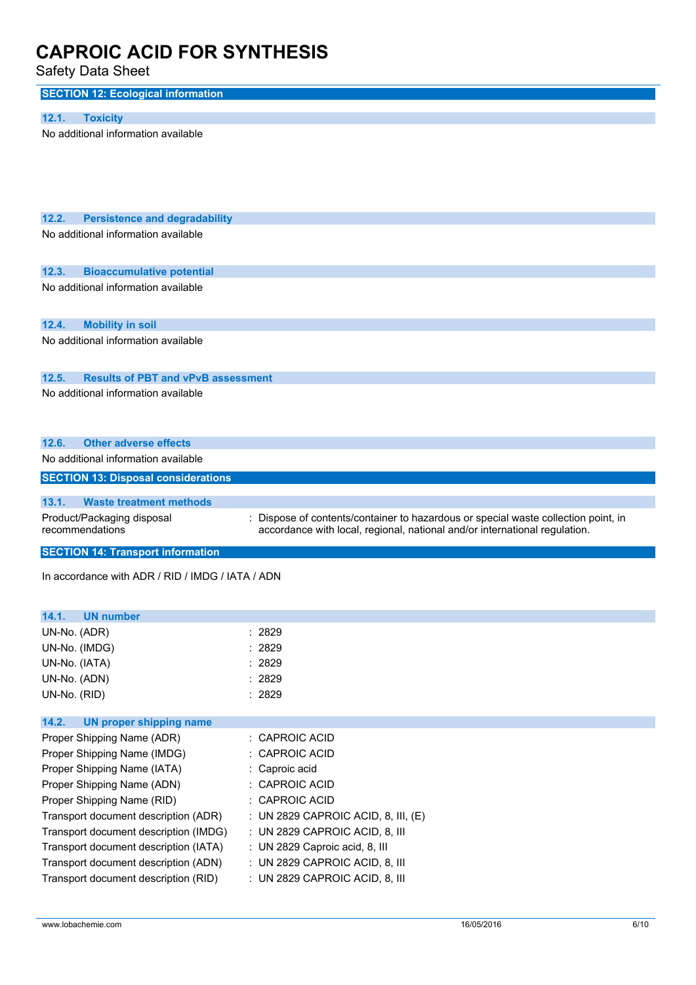Safety Data Sheet

| <b>SECTION 12: Ecological information</b>                                            |                                                                                  |
|--------------------------------------------------------------------------------------|----------------------------------------------------------------------------------|
|                                                                                      |                                                                                  |
| 12.1.<br><b>Toxicity</b>                                                             |                                                                                  |
| No additional information available                                                  |                                                                                  |
|                                                                                      |                                                                                  |
|                                                                                      |                                                                                  |
|                                                                                      |                                                                                  |
|                                                                                      |                                                                                  |
|                                                                                      |                                                                                  |
| 12.2.<br><b>Persistence and degradability</b><br>No additional information available |                                                                                  |
|                                                                                      |                                                                                  |
|                                                                                      |                                                                                  |
| 12.3.<br><b>Bioaccumulative potential</b>                                            |                                                                                  |
| No additional information available                                                  |                                                                                  |
|                                                                                      |                                                                                  |
| 12.4.<br><b>Mobility in soil</b>                                                     |                                                                                  |
| No additional information available                                                  |                                                                                  |
|                                                                                      |                                                                                  |
|                                                                                      |                                                                                  |
| 12.5.<br><b>Results of PBT and vPvB assessment</b>                                   |                                                                                  |
| No additional information available                                                  |                                                                                  |
|                                                                                      |                                                                                  |
|                                                                                      |                                                                                  |
| <b>Other adverse effects</b><br>12.6.                                                |                                                                                  |
| No additional information available                                                  |                                                                                  |
| <b>SECTION 13: Disposal considerations</b>                                           |                                                                                  |
| 13.1.<br><b>Waste treatment methods</b>                                              |                                                                                  |
| Product/Packaging disposal                                                           | Dispose of contents/container to hazardous or special waste collection point, in |
| recommendations                                                                      | accordance with local, regional, national and/or international regulation.       |
|                                                                                      |                                                                                  |
| <b>SECTION 14: Transport information</b>                                             |                                                                                  |
| In accordance with ADR / RID / IMDG / IATA / ADN                                     |                                                                                  |
|                                                                                      |                                                                                  |
|                                                                                      |                                                                                  |
| 14.1.<br><b>UN number</b>                                                            |                                                                                  |
| UN-No. (ADR)                                                                         | : 2829                                                                           |
| UN-No. (IMDG)                                                                        | 2829                                                                             |
| UN-No. (IATA)                                                                        | 2829                                                                             |
| UN-No. (ADN)                                                                         | 2829                                                                             |
| UN-No. (RID)                                                                         | : 2829                                                                           |
| 14.2.<br><b>UN proper shipping name</b>                                              |                                                                                  |
| Proper Shipping Name (ADR)                                                           | <b>CAPROIC ACID</b>                                                              |
| Proper Shipping Name (IMDG)                                                          | <b>CAPROIC ACID</b>                                                              |
| Proper Shipping Name (IATA)                                                          | Caproic acid                                                                     |
| Proper Shipping Name (ADN)                                                           | CAPROIC ACID                                                                     |
| Proper Shipping Name (RID)                                                           | <b>CAPROIC ACID</b>                                                              |
| Transport document description (ADR)                                                 | UN 2829 CAPROIC ACID, 8, III, (E)                                                |
| Transport document description (IMDG)                                                | : UN 2829 CAPROIC ACID, 8, III                                                   |
| Transport document description (IATA)                                                | : UN 2829 Caproic acid, 8, III                                                   |
| Transport document description (ADN)                                                 | : UN 2829 CAPROIC ACID, 8, III                                                   |
| Transport document description (RID)                                                 | : UN 2829 CAPROIC ACID, 8, III                                                   |
|                                                                                      |                                                                                  |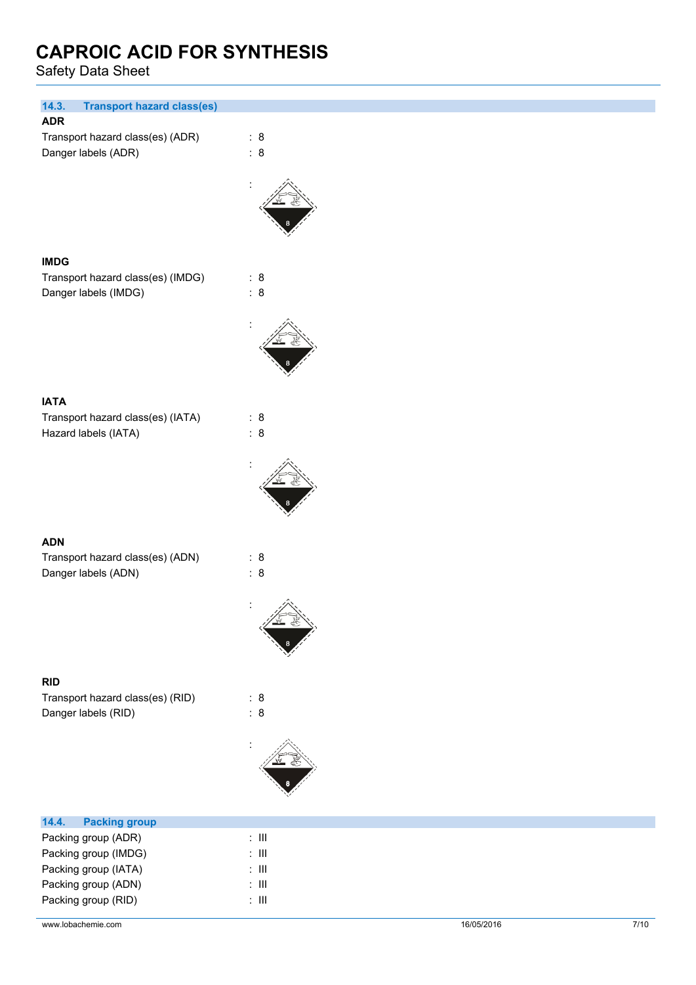Safety Data Sheet

| 14.3.<br><b>Transport hazard class(es)</b> |                |
|--------------------------------------------|----------------|
| <b>ADR</b>                                 |                |
| Transport hazard class(es) (ADR)           | : 8            |
| Danger labels (ADR)                        | : 8            |
|                                            |                |
|                                            |                |
|                                            |                |
|                                            |                |
|                                            |                |
|                                            |                |
| <b>IMDG</b>                                |                |
| Transport hazard class(es) (IMDG)          | : 8            |
| Danger labels (IMDG)                       | : 8            |
|                                            |                |
|                                            |                |
|                                            |                |
|                                            |                |
|                                            |                |
|                                            |                |
| <b>IATA</b>                                |                |
| Transport hazard class(es) (IATA)          | : 8            |
| Hazard labels (IATA)                       | : 8            |
|                                            |                |
|                                            |                |
|                                            |                |
|                                            |                |
|                                            |                |
|                                            |                |
| <b>ADN</b>                                 |                |
| Transport hazard class(es) (ADN)           | : 8            |
| Danger labels (ADN)                        | : 8            |
|                                            |                |
|                                            | $\ddot{\cdot}$ |
|                                            | 兰色             |
|                                            |                |
|                                            |                |
|                                            |                |
| <b>RID</b>                                 |                |
| Transport hazard class(es) (RID)           | : 8            |
| Danger labels (RID)                        | : 8            |
|                                            |                |
|                                            |                |
|                                            |                |
|                                            |                |
|                                            |                |
|                                            |                |
| <b>Packing group</b><br>14.4.              |                |
| Packing group (ADR)                        | $\colon$ III   |
| Packing group (IMDG)                       | $\colon$ III   |
| Packing group (IATA)                       | $\colon$ III   |

Packing group (ADN) : III Packing group (RID) : III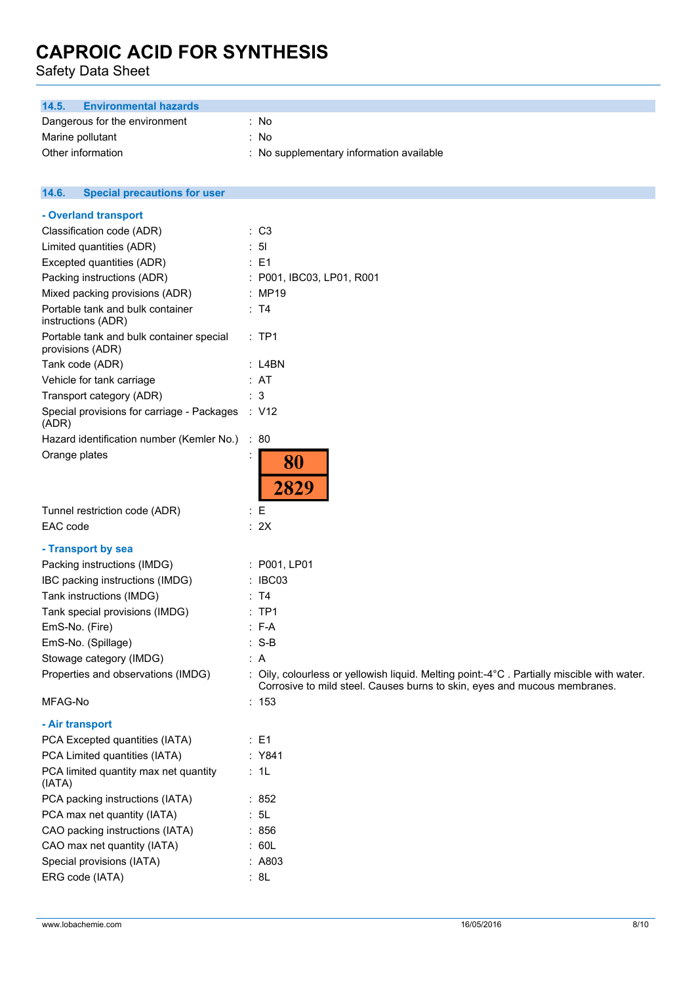Safety Data Sheet

| <b>Environmental hazards</b><br>14.5.                        |                                          |
|--------------------------------------------------------------|------------------------------------------|
| Dangerous for the environment                                | : No                                     |
| Marine pollutant                                             | : No                                     |
| Other information                                            | : No supplementary information available |
|                                                              |                                          |
| 14.6.<br><b>Special precautions for user</b>                 |                                          |
|                                                              |                                          |
| - Overland transport                                         |                                          |
| Classification code (ADR)                                    | : C3                                     |
| Limited quantities (ADR)                                     | : 51                                     |
| Excepted quantities (ADR)                                    | : E1                                     |
| Packing instructions (ADR)                                   | : P001, IBC03, LP01, R001                |
| Mixed packing provisions (ADR)                               | : MP19                                   |
| Portable tank and bulk container<br>instructions (ADR)       | : T4                                     |
| Portable tank and bulk container special<br>provisions (ADR) | :TP1                                     |
| Tank code (ADR)                                              | $:$ L4BN                                 |
| Vehicle for tank carriage                                    | : AT                                     |
| Transport category (ADR)                                     | : 3                                      |
| Special provisions for carriage - Packages<br>(ADR)          | $\therefore$ V12                         |
| Hazard identification number (Kemler No.)                    | : 80                                     |
| Orange plates                                                | 80<br>2829                               |
| Tunnel restriction code (ADR)                                | $\mathbf{E}$                             |
| EAC code                                                     | : 2X                                     |
| - Transport by sea                                           |                                          |
| Packing instructions (IMDG)                                  | : P001, LP01                             |

- IBC packing instructions (IMDG) : IBC03
- Tank instructions (IMDG) : T4
- Tank special provisions (IMDG) : TP1
- EmS-No. (Fire) : F-A
- EmS-No. (Spillage) : S-B Stowage category (IMDG)  $\qquad \qquad$ : A

Properties and observations (IMDG) : Oily, colourless or yellowish liquid. Melting point:-4°C. Partially miscible with water. Corrosive to mild steel. Causes burns to skin, eyes and mucous membranes.

MFAG-No : 153

### **- Air transport**

| PCA Excepted quantities (IATA)                  | $E = 1$ |
|-------------------------------------------------|---------|
| PCA Limited quantities (IATA)                   | : Y841  |
| PCA limited quantity max net quantity<br>(IATA) | : 1L    |
| PCA packing instructions (IATA)                 | : 852   |
| PCA max net quantity (IATA)                     | : 5L    |
| CAO packing instructions (IATA)                 | : 856   |
| CAO max net quantity (IATA)                     | : 60L   |
| Special provisions (IATA)                       | : A803  |
| ERG code (IATA)                                 | : 8L    |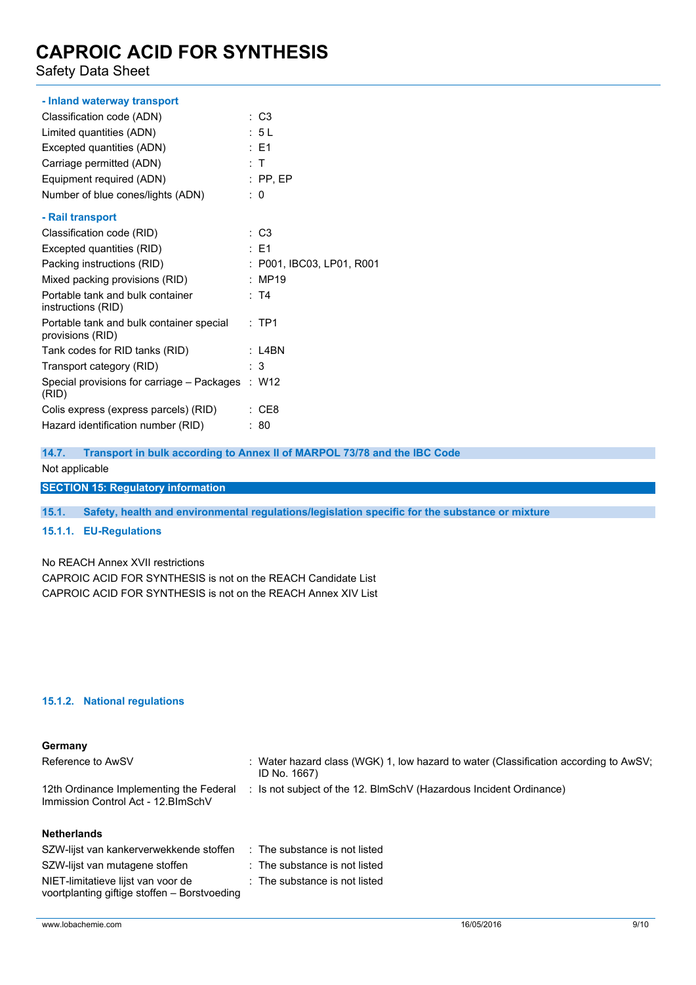Safety Data Sheet

| - Inland waterway transport                                  |                           |
|--------------------------------------------------------------|---------------------------|
| Classification code (ADN)                                    | : C3                      |
| Limited quantities (ADN)                                     | : 5L                      |
| Excepted quantities (ADN)                                    | $\therefore$ F1           |
| Carriage permitted (ADN)                                     | : T                       |
| Equipment required (ADN)                                     | $:$ PP, EP                |
| Number of blue cones/lights (ADN)                            | : 0                       |
| - Rail transport                                             |                           |
| Classification code (RID)                                    | : C3                      |
| Excepted quantities (RID)                                    | $\therefore$ F1           |
| Packing instructions (RID)                                   | : P001, IBC03, LP01, R001 |
| Mixed packing provisions (RID)                               | : MP19                    |
| Portable tank and bulk container<br>instructions (RID)       | : T4                      |
| Portable tank and bulk container special<br>provisions (RID) | $:$ TP1                   |
| Tank codes for RID tanks (RID)                               | : L4BN                    |
| Transport category (RID)                                     | : 3                       |
| Special provisions for carriage – Packages : W12<br>(RID)    |                           |
| Colis express (express parcels) (RID)                        | $\therefore$ CE8          |
| Hazard identification number (RID)                           | : 80                      |

**14.7. Transport in bulk according to Annex II of MARPOL 73/78 and the IBC Code**

Not applicable

**SECTION 15: Regulatory information**

**15.1. Safety, health and environmental regulations/legislation specific for the substance or mixture**

### **15.1.1. EU-Regulations**

No REACH Annex XVII restrictions

CAPROIC ACID FOR SYNTHESIS is not on the REACH Candidate List CAPROIC ACID FOR SYNTHESIS is not on the REACH Annex XIV List

### **15.1.2. National regulations**

| Germany                                                                        |                                                                                                         |
|--------------------------------------------------------------------------------|---------------------------------------------------------------------------------------------------------|
| Reference to AwSV                                                              | : Water hazard class (WGK) 1, low hazard to water (Classification according to $AwSV$ ;<br>ID No. 1667) |
| 12th Ordinance Implementing the Federal<br>Immission Control Act - 12. BlmSchV | : Is not subject of the 12. BlmSchV (Hazardous Incident Ordinance)                                      |
| <b>Netherlands</b>                                                             |                                                                                                         |

| SZW-lijst van kankerverwekkende stoffen                                            | $\therefore$ The substance is not listed |
|------------------------------------------------------------------------------------|------------------------------------------|
| SZW-lijst van mutagene stoffen                                                     | : The substance is not listed            |
| NIET-limitatieve lijst van voor de<br>voortplanting giftige stoffen - Borstvoeding | : The substance is not listed            |